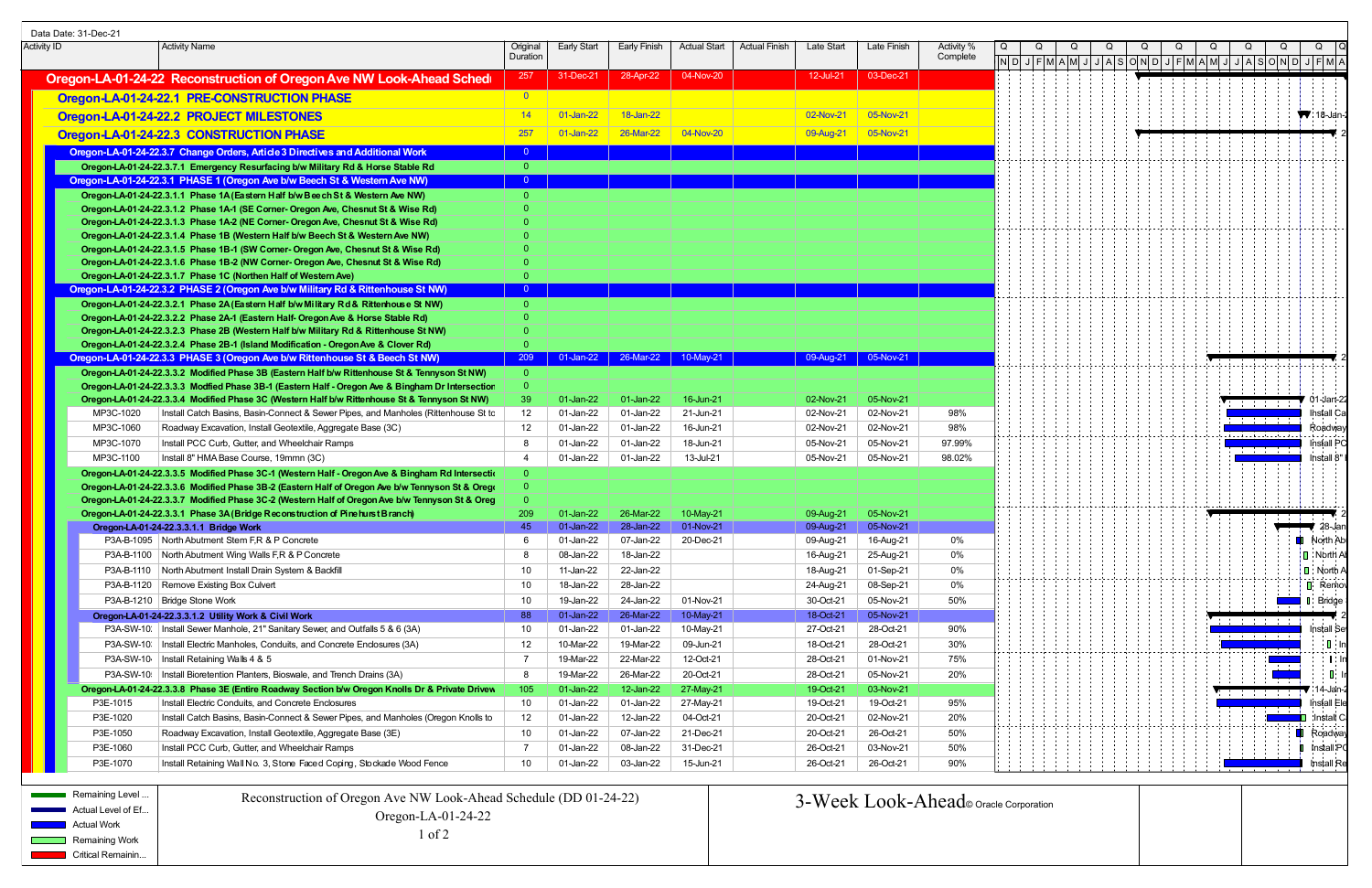| Data Date: 31-Dec-21                                                                                                                                   |                                                                                                                                                                                                     |                            |                           |                               |                                   |                        |                        |                                        |                                                                                                                                                                                                                                       |  |                                        |                          |                           |
|--------------------------------------------------------------------------------------------------------------------------------------------------------|-----------------------------------------------------------------------------------------------------------------------------------------------------------------------------------------------------|----------------------------|---------------------------|-------------------------------|-----------------------------------|------------------------|------------------------|----------------------------------------|---------------------------------------------------------------------------------------------------------------------------------------------------------------------------------------------------------------------------------------|--|----------------------------------------|--------------------------|---------------------------|
| Activity ID                                                                                                                                            | Activity Name                                                                                                                                                                                       | Original<br>Duration       | Early Start I             | Early Finish                  | Actual Start   Actual Finish      | Late Start             | Late Finish            | Activity '<br>Complete                 |                                                                                                                                                                                                                                       |  |                                        |                          |                           |
|                                                                                                                                                        |                                                                                                                                                                                                     | 257                        | 31-Dec-21                 | 28-Apr-22                     | 04-Nov-20                         | 12-Jul-21              | 03-Dec-21              |                                        | $\vert$ N $\vert$ D $\vert$ J $\vert$ F $\vert$ M $\vert$ A $\vert$ M $\vert$ J $\vert$ J $\vert$ A $\vert$ S $\vert$ O $\vert$ N $\vert$ D $\vert$ J $\vert$ $\vert$ T $\vert$ M $\vert$ M $\vert$ $\vert$ $\vert$ M $\vert$ $\vert$ |  |                                        |                          |                           |
|                                                                                                                                                        | Oregon-LA-01-24-22 Reconstruction of Oregon Ave NW Look-Ahead Sched                                                                                                                                 |                            |                           |                               |                                   |                        |                        |                                        |                                                                                                                                                                                                                                       |  |                                        |                          |                           |
|                                                                                                                                                        | Oregon-LA-01-24-22.1 PRE-CONSTRUCTION PHASE                                                                                                                                                         | $\overline{\phantom{0}}$ 0 |                           |                               |                                   |                        |                        |                                        |                                                                                                                                                                                                                                       |  |                                        |                          |                           |
|                                                                                                                                                        | Oregon-LA-01-24-22.2 PROJECT MILESTONES                                                                                                                                                             | $\overline{14}$            | 01-Jan-22                 | 18-Jan-22                     |                                   | 02-Nov-21              | $\bigcup$ 05-Nov-21    |                                        |                                                                                                                                                                                                                                       |  |                                        | $\sqrt{18}$ -Jar         |                           |
|                                                                                                                                                        | Oregon-LA-01-24-22.3 CONSTRUCTION PHASE                                                                                                                                                             | 257                        | $01$ -Jan-22              | 26-Mar-22                     | $\overline{04-Nov-20}$            | 09-Aug-21 05-Nov-21    |                        |                                        |                                                                                                                                                                                                                                       |  |                                        |                          |                           |
|                                                                                                                                                        | Oregon-LA-01-24-22.3.7 Change Orders, Article 3 Directives and Additional Work                                                                                                                      |                            |                           |                               |                                   |                        |                        |                                        |                                                                                                                                                                                                                                       |  |                                        |                          |                           |
|                                                                                                                                                        | Oregon-LA-01-24-22.3.7.1 Emergency Resurfacing b/w Military Rd & Horse Stable Rd                                                                                                                    | ം വ                        |                           |                               |                                   |                        |                        |                                        |                                                                                                                                                                                                                                       |  |                                        |                          |                           |
|                                                                                                                                                        | Oregon-LA-01-24-22.3.1 PHASE 1 (Oregon Ave b/w Beech St & Western Ave NW)                                                                                                                           |                            |                           |                               |                                   |                        |                        |                                        |                                                                                                                                                                                                                                       |  |                                        |                          |                           |
|                                                                                                                                                        | Oregon-LA-01-24-22.3.1.1 Phase 1A (Eastern Half b/w Bee ch St & Western Ave NW)                                                                                                                     |                            |                           |                               |                                   |                        |                        |                                        |                                                                                                                                                                                                                                       |  |                                        |                          |                           |
|                                                                                                                                                        | Oregon-LA-01-24-22.3.1.2 Phase 1A-1 (SE Corner- Oregon Ave, Chesnut St & Wise Rd)<br>Oregon-LA-01-24-22.3.1.3 Phase 1A-2 (NE Corner- Oregon Ave, Chesnut St & Wise Rd)                              |                            |                           |                               |                                   |                        |                        |                                        |                                                                                                                                                                                                                                       |  |                                        |                          |                           |
|                                                                                                                                                        | Oregon-LA-01-24-22.3.1.4 Phase 1B (Western Half b/w Beech St & Western Ave NW)                                                                                                                      |                            |                           |                               |                                   |                        |                        |                                        |                                                                                                                                                                                                                                       |  |                                        |                          |                           |
|                                                                                                                                                        | Oregon-LA-01-24-22.3.1.5 Phase 1B-1 (SW Corner- Oregon Ave, Chesnut St & Wise Rd)                                                                                                                   |                            |                           |                               |                                   |                        |                        |                                        |                                                                                                                                                                                                                                       |  |                                        |                          |                           |
|                                                                                                                                                        | Oregon-LA-01-24-22.3.1.6 Phase 1B-2 (NW Corner- Oregon Ave, Chesnut St & Wise Rd)                                                                                                                   |                            |                           |                               |                                   |                        |                        |                                        |                                                                                                                                                                                                                                       |  |                                        |                          |                           |
|                                                                                                                                                        | Oregon-LA-01-24-22.3.1.7 Phase 1C (Northen Half of Western Ave)                                                                                                                                     |                            |                           |                               |                                   |                        |                        |                                        |                                                                                                                                                                                                                                       |  |                                        |                          |                           |
|                                                                                                                                                        | Oregon-LA-01-24-22.3.2 PHASE 2 (Oregon Ave b/w Military Rd & Rittenhouse St NW)<br>Oregon-LA-01-24-22.3.2.1 Phase 2A (Eastern Half b/w Military Rd & Ritterhouse St NW)                             |                            |                           |                               |                                   |                        |                        |                                        |                                                                                                                                                                                                                                       |  |                                        |                          |                           |
|                                                                                                                                                        | Oregon-LA-01-24-22.3.2.2 Phase 2A-1 (Eastern Half- Oregon Ave & Horse Stable Rd)                                                                                                                    |                            |                           |                               |                                   |                        |                        |                                        |                                                                                                                                                                                                                                       |  |                                        |                          |                           |
|                                                                                                                                                        | Oregon-LA-01-24-22.3.2.3 Phase 2B (Western Half b/w Military Rd & Rittenhouse St NW)                                                                                                                |                            |                           |                               |                                   |                        |                        |                                        |                                                                                                                                                                                                                                       |  |                                        |                          |                           |
|                                                                                                                                                        | Oregon-LA-01-24-22.3.2.4 Phase 2B-1 (Island Modification - Oregon Ave & Clover Rd)                                                                                                                  |                            |                           |                               |                                   |                        |                        |                                        |                                                                                                                                                                                                                                       |  |                                        |                          |                           |
|                                                                                                                                                        | Oregon-LA-01-24-22.3.3 PHASE 3 (Oregon Ave b/w Rittenhouse St & Beech St NW)                                                                                                                        |                            |                           |                               | 209 01-Jan-22 26-Mar-22 10-May-21 |                        | 09-Aug-21 05-Nov-21    |                                        |                                                                                                                                                                                                                                       |  |                                        |                          |                           |
|                                                                                                                                                        | Oregon-LA-01-24-22.3.3.2 Modified Phase 3B (Eastern Half b/w Rittenhouse St & Tennyson St NW)<br>Oregon-LA-01-24-22.3.3.3 Modfied Phase 3B-1 (Eastern Half - Oregon Ave & Bingham Dr Intersectior   |                            |                           |                               |                                   |                        |                        |                                        |                                                                                                                                                                                                                                       |  |                                        |                          |                           |
|                                                                                                                                                        | Oregon-LA-01-24-22.3.3.4 Modified Phase 3C (Western Half b/w Rittenhouse St & Tennyson St NW)                                                                                                       | -39 -                      | $01$ -Jan-22              | 01-Jan-22                     | 16-Jun-21                         | 02-Nov-21              | 05-Nov-21              |                                        |                                                                                                                                                                                                                                       |  |                                        |                          | 01-Jan-2                  |
| MP3C-1020                                                                                                                                              | Install Catch Basins, Basin-Connect & Sewer Pipes, and Manholes (Rittenhouse St to                                                                                                                  | 12                         | 01-Jan-22                 | 01-Jan-22                     | 21-Jun-21                         | 02-Nov-21              | 02-Nov-21              | 98%                                    |                                                                                                                                                                                                                                       |  |                                        |                          | Install Ca                |
| MP3C-1060                                                                                                                                              | Roadway Excavation, Install Geotextile, Aggregate Base (3C)                                                                                                                                         |                            | 01-Jan-22                 | 01-Jan-22                     | 16-Jun-21                         | 02-Nov-21              | 02-Nov-21              | 98%                                    |                                                                                                                                                                                                                                       |  | المتمالة المتعاملة المتحامية المتحاملة |                          | Roadwa                    |
| MP3C-1070                                                                                                                                              | Install PCC Curb, Gutter, and Wheelchair Ramps                                                                                                                                                      |                            | 01-Jan-22                 | 01-Jan-22                     | 18-Jun-21                         | 05-Nov-21              | 05-Nov-21              | 97.99%                                 |                                                                                                                                                                                                                                       |  |                                        |                          | <b>Install PC</b>         |
| MP3C-1100                                                                                                                                              | Install 8" HMA Base Course, 19mmn (3C)                                                                                                                                                              | -4                         | 01-Jan-22                 | 01-Jan-22                     | 13-Jul-21                         | 05-Nov-21              | 05-Nov-21              | 98.02%                                 |                                                                                                                                                                                                                                       |  |                                        |                          | Install 8                 |
|                                                                                                                                                        | Oregon-LA-01-24-22.3.3.5 Modified Phase 3C-1 (Western Half - Oregon Ave & Bingham Rd Intersection                                                                                                   |                            |                           |                               |                                   |                        |                        |                                        |                                                                                                                                                                                                                                       |  |                                        |                          |                           |
|                                                                                                                                                        | Oregon-LA-01-24-22.3.3.6 Modified Phase 3B-2 (Eastern Half of Oregon Ave b/w Tennyson St & Orego<br>Oregon-LA-01-24-22.3.3.7 Modified Phase 3C-2 (Western Half of Oregon Ave b/w Tennyson St & Oreg |                            |                           |                               |                                   |                        |                        |                                        |                                                                                                                                                                                                                                       |  |                                        |                          |                           |
|                                                                                                                                                        | Oregon-LA-01-24-22.3.3.1 Phase 3A (Bridge Reconstruction of Pine hurst Branch)                                                                                                                      | <b>209</b>                 | 01-Jan-22                 | 26-Mar-22                     | 10-May-21                         | 09-Aug-21              | 05-Nov-21              |                                        |                                                                                                                                                                                                                                       |  |                                        |                          |                           |
|                                                                                                                                                        | Oregon-LA-01-24-22.3.3.1.1 Bridge Work                                                                                                                                                              | 45                         |                           | 01-Jan-22 28-Jan-22 01-Nov-21 |                                   |                        | 09-Aug-21   05-Nov-21  |                                        |                                                                                                                                                                                                                                       |  |                                        |                          | v zove                    |
|                                                                                                                                                        | P3A-B-1095 North Abutment Stem F,R & P Concrete                                                                                                                                                     |                            | 01-Jan-22                 | 07-Jan-22                     | 20-Dec-21                         | 09-Aug-21              | 16-Aug-21              | 0%                                     |                                                                                                                                                                                                                                       |  |                                        | <b>D</b> North Ab        |                           |
|                                                                                                                                                        | P3A-B-1100 North Abutment Wing Walls F,R & P Concrete                                                                                                                                               |                            | 08-Jan-22                 | 18-Jan-22                     |                                   | 16-Aug-21              | 25-Aug-21              | 0%                                     |                                                                                                                                                                                                                                       |  |                                        |                          | $\blacksquare$ North A    |
|                                                                                                                                                        | P3A-B-1110   North Abutment Install Drain System & Backfill                                                                                                                                         | 10                         | 11-Jan-22                 | 22-Jan-22                     |                                   | 18-Aug-21              | 01-Sep-21              | 0%                                     |                                                                                                                                                                                                                                       |  |                                        |                          | $\Box$ North              |
|                                                                                                                                                        | P3A-B-1120   Remove Existing Box Culvert                                                                                                                                                            | 10                         | 18-Jan-22                 | 28-Jan-22                     |                                   | 24-Aug-21              | 08-Sep-21              | 0%                                     |                                                                                                                                                                                                                                       |  |                                        |                          | $\blacksquare$ Remo       |
|                                                                                                                                                        | P3A-B-1210   Bridge Stone Work<br>Oregon-LA-01-24-22.3.3.1.2 Utility Work & Civil Work                                                                                                              | 10 <sup>1</sup><br>-88     | 19-Jan-22<br>$01$ -Jan-22 | 24-Jan-22<br>26-Mar-22        | 01-Nov-21<br>10-May-21            | 30-Oct-21<br>18-Oct-21 | 05-Nov-21<br>05-Nov-21 | 50%                                    |                                                                                                                                                                                                                                       |  |                                        | <b>Example 1</b> Bridge  |                           |
|                                                                                                                                                        | P3A-SW-10.   Install Sewer Manhole, 21" Sanitary Sewer, and Outfalls 5 & 6 (3A)                                                                                                                     | 10                         | 01-Jan-22                 | 01-Jan-22                     | 10-May-21                         | 27-Oct-21              | 28-Oct-21              | 90%                                    |                                                                                                                                                                                                                                       |  | the contract of the contract of        |                          | lnstall S                 |
|                                                                                                                                                        | P3A-SW-10:   Install Electric Manholes, Conduits, and Concrete Enclosures (3A)                                                                                                                      | 12                         | 10-Mar-22                 | 19-Mar-22                     | 09-Jun-21                         | 18-Oct-21              | 28-Oct-21              | 30%                                    |                                                                                                                                                                                                                                       |  | the control of the con-                |                          |                           |
|                                                                                                                                                        | P3A-SW-10   Install Retaining Walls 4 & 5                                                                                                                                                           |                            | 19-Mar-22                 | 22-Mar-22                     | 12-Oct-21                         | 28-Oct-21              | 01-Nov-21              | 75%                                    |                                                                                                                                                                                                                                       |  |                                        |                          |                           |
|                                                                                                                                                        | P3A-SW-10:   Install Bioretention Planters, Bioswale, and Trench Drains (3A)                                                                                                                        |                            | 19-Mar-22                 | 26-Mar-22                     | 20-Oct-21                         | 28-Oct-21              | 05-Nov-21              | 20%                                    |                                                                                                                                                                                                                                       |  |                                        |                          |                           |
|                                                                                                                                                        | Oregon-LA-01-24-22.3.3.8 Phase 3E (Entire Roadway Section b/w Oregon Knolls Dr & Private Drivew                                                                                                     | 105                        | 01-Jan-22                 | 12-Jan-22                     | 27-May-21                         | 19-Oct-21              | 03-Nov-21              |                                        |                                                                                                                                                                                                                                       |  | and the control of the con-            |                          | ∶14-Jan-                  |
| P3E-1015                                                                                                                                               | Install Electric Conduits, and Concrete Enclosures                                                                                                                                                  | 10 <sup>1</sup>            | 01-Jan-22                 | 01-Jan-22                     | 27-May-21                         | 19-Oct-21              | 19-Oct-21              | 95%                                    |                                                                                                                                                                                                                                       |  |                                        |                          | <b>Install Ele</b>        |
| P3E-1020                                                                                                                                               | Install Catch Basins, Basin-Connect & Sewer Pipes, and Manholes (Oregon Knolls to                                                                                                                   | 12                         | 01-Jan-22                 | 12-Jan-22                     | 04-Oct-21                         | 20-Oct-21              | 02-Nov-21              | 20%                                    |                                                                                                                                                                                                                                       |  |                                        | $\blacksquare$ Install ( |                           |
| P3E-1050                                                                                                                                               | Roadway Excavation, Install Geotextile, Aggregate Base (3E)                                                                                                                                         | 10 <sup>1</sup>            | 01-Jan-22                 | 07-Jan-22                     | 21-Dec-21                         | 20-Oct-21              | 26-Oct-21              | 50%                                    |                                                                                                                                                                                                                                       |  |                                        | <b>N</b> Roadwa          |                           |
| P3E-1060                                                                                                                                               | Install PCC Curb, Gutter, and Wheelchair Ramps                                                                                                                                                      |                            | 01-Jan-22                 | 08-Jan-22                     | 31-Dec-21                         | 26-Oct-21              | 03-Nov-21              | 50%                                    |                                                                                                                                                                                                                                       |  |                                        |                          | $\blacksquare$ Install P( |
| P3E-1070                                                                                                                                               | Install Retaining Wall No. 3, Stone Faced Coping, Stockade Wood Fence                                                                                                                               | 10                         | 01-Jan-22                 | 03-Jan-22                     | 15-Jun-21                         | 26-Oct-21              | 26-Oct-21              | 90%                                    |                                                                                                                                                                                                                                       |  |                                        |                          | Install Re                |
| <b>Remaining Level</b> Remaining Level<br>Actual Level of Ef<br><b>Norman</b> Actual Work<br><b>Remaining Work</b><br><b>EXAMPLE Critical Remainin</b> | Reconstruction of Oregon Ave NW Look-Ahead Schedule (DD 01-24-22)<br>Oregon-LA-01-24-22<br>$1$ of $2$                                                                                               |                            |                           |                               |                                   |                        |                        | 3-Week Look-Ahead o Oracle Corporation |                                                                                                                                                                                                                                       |  |                                        |                          |                           |

| Remaining Level    | Reconstruction of Oregon Ave NW Look-Ahead Schedule (DD 01-24-22) | 3-Weel |
|--------------------|-------------------------------------------------------------------|--------|
| Actual Level of Ef | Oregon-LA-01-24-22                                                |        |
| <b>Actual Work</b> |                                                                   |        |
| Remaining Work     | of 2                                                              |        |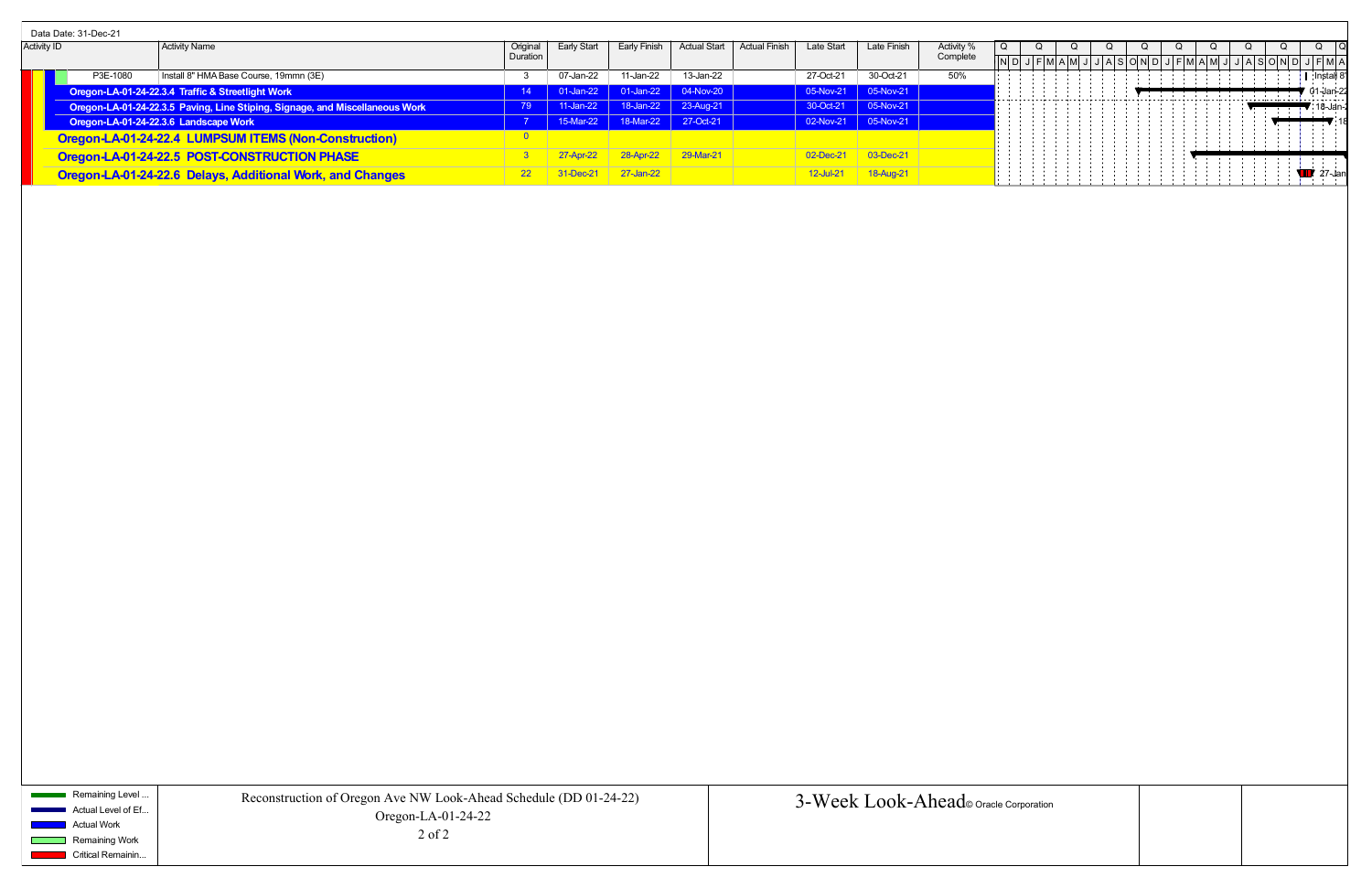| <b>Activity ID</b><br><b>Activity Name</b><br>Origina<br>Early Finish<br>Actual Start<br>Activity<br>Early Start<br>Late Start<br>Late Finish<br>Duration<br>Complete<br>P3E-1080<br>Install 8" HMA Base Course, 19mmn (3E)<br>30-Oct-21<br>50%<br>11-Jan-22<br>13-Jan-22<br>27-Oct-21<br>07-Jan-22<br>l Install<br>01-Jan-22 01-Jan-22<br>04-Nov-20<br>Oregon-LA-01-24-22.3.4 Traffic & Streetlight Work<br>05-Nov-21<br>$\vert$ 05-Nov-21<br>$\sim$ 14<br>.01-Jan-<br>.<br>30-Oct-21 05-Nov-21<br>$11$ -Jan-22   18-Jan-22   23-Aug-21<br>Oregon-LA-01-24-22.3.5 Paving, Line Stiping, Signage, and Miscellaneous Work<br>- 79 -<br>15-Mar-22 18-Mar-22 27-Oct-21<br>$\vert$ 05-Nov-21<br>02-Nov-21<br>Oregon-LA-01-24-22.3.6 Landscape Work<br>Oregon-LA-01-24-22.4 LUMPSUM ITEMS (Non-Construction)<br>02-Dec-21<br>28-Apr-22<br>$\vert$ 29-Mar-21<br>$03 - Dec-21$<br>Oregon-LA-01-24-22.5 POST-CONSTRUCTION PHASE<br>$27$ -Jan-22<br>18-Aug-21<br>$-Dec-21$<br><b>12-Jul-21</b><br>Oregon-LA-01-24-22.6 Delays, Additional Work, and Changes<br>$22 \t3$ | Data Date: 31-Dec-21 |  |  |  |  |  |  |  |  |  |  |
|----------------------------------------------------------------------------------------------------------------------------------------------------------------------------------------------------------------------------------------------------------------------------------------------------------------------------------------------------------------------------------------------------------------------------------------------------------------------------------------------------------------------------------------------------------------------------------------------------------------------------------------------------------------------------------------------------------------------------------------------------------------------------------------------------------------------------------------------------------------------------------------------------------------------------------------------------------------------------------------------------------------------------------------------------------------|----------------------|--|--|--|--|--|--|--|--|--|--|
|                                                                                                                                                                                                                                                                                                                                                                                                                                                                                                                                                                                                                                                                                                                                                                                                                                                                                                                                                                                                                                                                |                      |  |  |  |  |  |  |  |  |  |  |
|                                                                                                                                                                                                                                                                                                                                                                                                                                                                                                                                                                                                                                                                                                                                                                                                                                                                                                                                                                                                                                                                |                      |  |  |  |  |  |  |  |  |  |  |
|                                                                                                                                                                                                                                                                                                                                                                                                                                                                                                                                                                                                                                                                                                                                                                                                                                                                                                                                                                                                                                                                |                      |  |  |  |  |  |  |  |  |  |  |
|                                                                                                                                                                                                                                                                                                                                                                                                                                                                                                                                                                                                                                                                                                                                                                                                                                                                                                                                                                                                                                                                |                      |  |  |  |  |  |  |  |  |  |  |
|                                                                                                                                                                                                                                                                                                                                                                                                                                                                                                                                                                                                                                                                                                                                                                                                                                                                                                                                                                                                                                                                |                      |  |  |  |  |  |  |  |  |  |  |
|                                                                                                                                                                                                                                                                                                                                                                                                                                                                                                                                                                                                                                                                                                                                                                                                                                                                                                                                                                                                                                                                |                      |  |  |  |  |  |  |  |  |  |  |
|                                                                                                                                                                                                                                                                                                                                                                                                                                                                                                                                                                                                                                                                                                                                                                                                                                                                                                                                                                                                                                                                |                      |  |  |  |  |  |  |  |  |  |  |
|                                                                                                                                                                                                                                                                                                                                                                                                                                                                                                                                                                                                                                                                                                                                                                                                                                                                                                                                                                                                                                                                |                      |  |  |  |  |  |  |  |  |  |  |
|                                                                                                                                                                                                                                                                                                                                                                                                                                                                                                                                                                                                                                                                                                                                                                                                                                                                                                                                                                                                                                                                |                      |  |  |  |  |  |  |  |  |  |  |

Remaining Level ... Actual Level of Ef... **Actual Work** Remaining Work

 $\mathcal{O}(\mathbb{R}^d)$ 

**Critical Remainin...**